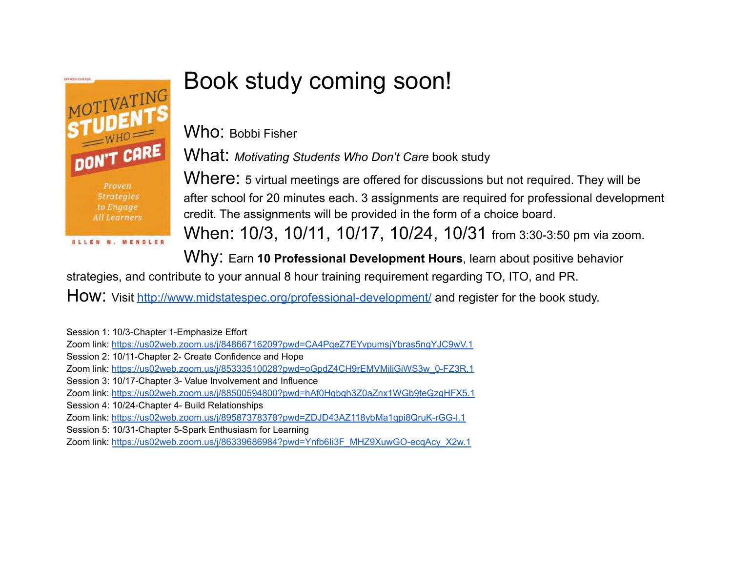

## Book study coming soon!

Who: Bobbi Fisher

What: *Motivating Students Who Don't Care* book study

Where: 5 virtual meetings are offered for discussions but not required. They will be after school for 20 minutes each. 3 assignments are required for professional development credit. The assignments will be provided in the form of a choice board.

When: 10/3, 10/11, 10/17, 10/24, 10/31 from 3:30-3:50 pm via zoom.

Why: Earn **<sup>10</sup> Professional Development Hours**, learn about positive behavior

strategies, and contribute to your annual 8 hour training requirement regarding TO, ITO, and PR.

How: Visit <http://www.midstatespec.org/professional-development/> and register for the book study.

Session 1: 10/3-Chapter 1-Emphasize Effort

Zoom link: <https://us02web.zoom.us/j/84866716209?pwd=CA4PqeZ7EYvpumsjYbras5ngYJC9wV.1>

Session 2: 10/11-Chapter 2- Create Confidence and Hope

Zoom link: [https://us02web.zoom.us/j/85333510028?pwd=oGpdZ4CH9rEMVMiliGiWS3w\\_0-FZ3R.1](https://us02web.zoom.us/j/85333510028?pwd=oGpdZ4CH9rEMVMiliGiWS3w_0-FZ3R.1)

Session 3: 10/17-Chapter 3- Value Involvement and Influence

Zoom link: <https://us02web.zoom.us/j/88500594800?pwd=hAf0Hqbgh3Z0aZnx1WGb9teGzgHFX5.1>

Session 4: 10/24-Chapter 4- Build Relationships

Zoom link: <https://us02web.zoom.us/j/89587378378?pwd=ZDJD43AZ118ybMa1qpi8QruK-rGG-l.1>

Session 5: 10/31-Chapter 5-Spark Enthusiasm for Learning

Zoom link: [https://us02web.zoom.us/j/86339686984?pwd=Ynfb6Ii3F\\_MHZ9XuwGO-ecqAcy\\_X2w.1](https://us02web.zoom.us/j/86339686984?pwd=Ynfb6Ii3F_MHZ9XuwGO-ecqAcy_X2w.1)